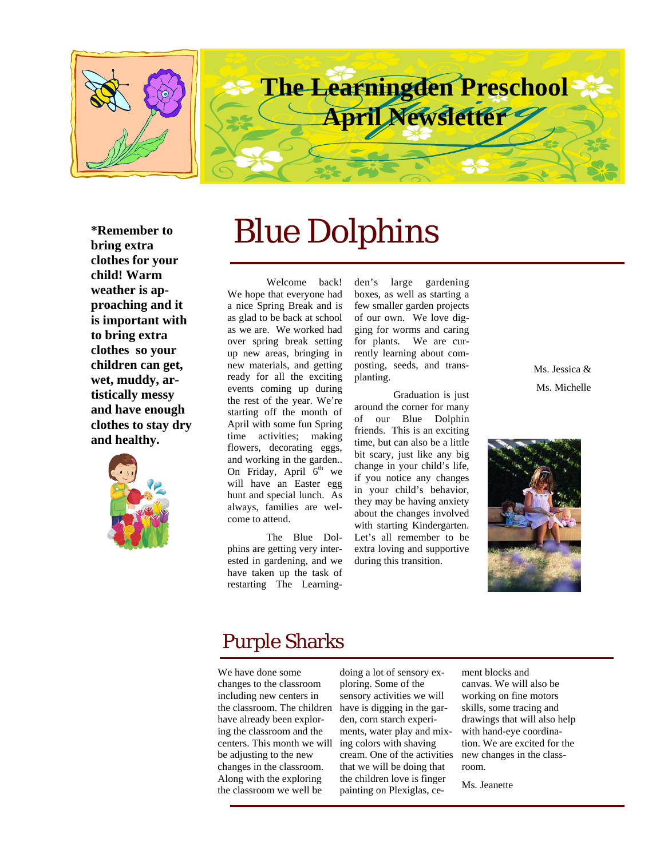

**\*Remember to bring extra clothes for your child! Warm weather is approaching and it is important with to bring extra clothes so your children can get, wet, muddy, artistically messy and have enough clothes to stay dry and healthy.** 



# Blue Dolphins

Welcome back! We hope that everyone had a nice Spring Break and is as glad to be back at school as we are. We worked had over spring break setting up new areas, bringing in new materials, and getting ready for all the exciting events coming up during the rest of the year. We're starting off the month of April with some fun Spring time activities; making flowers, decorating eggs, and working in the garden.. On Friday, April  $6<sup>th</sup>$  we will have an Easter egg hunt and special lunch. As always, families are welcome to attend.

The Blue Dolphins are getting very interested in gardening, and we have taken up the task of restarting The Learning-

den's large gardening boxes, as well as starting a few smaller garden projects of our own. We love digging for worms and caring for plants. We are currently learning about composting, seeds, and transplanting.

Graduation is just around the corner for many<br>of our Blue Dolphin our Blue Dolphin friends. This is an exciting time, but can also be a little bit scary, just like any big change in your child's life, if you notice any changes in your child's behavior, they may be having anxiety about the changes involved with starting Kindergarten. Let's all remember to be extra loving and supportive during this transition.

Ms. Jessica & Ms. Michelle



## Purple Sharks

We have done some changes to the classroom including new centers in the classroom. The children have already been exploring the classroom and the centers. This month we will be adjusting to the new changes in the classroom. Along with the exploring the classroom we well be

doing a lot of sensory exploring. Some of the sensory activities we will have is digging in the garden, corn starch experiments, water play and mixing colors with shaving cream. One of the activities that we will be doing that the children love is finger painting on Plexiglas, ce-

ment blocks and canvas. We will also be working on fine motors skills, some tracing and drawings that will also help with hand-eye coordination. We are excited for the new changes in the classroom.

Ms. Jeanette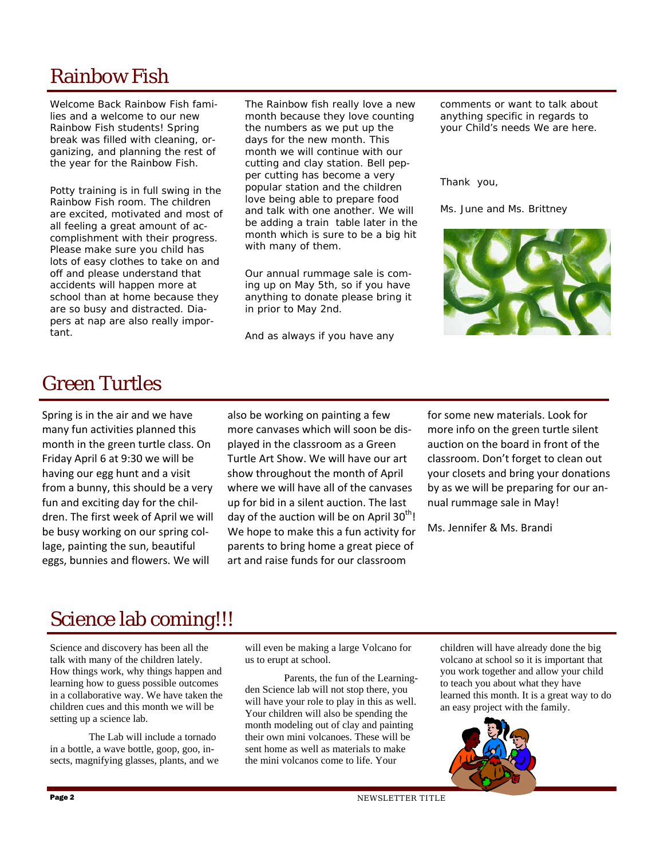# Rainbow Fish

Welcome Back Rainbow Fish families and a welcome to our new Rainbow Fish students! Spring break was filled with cleaning, organizing, and planning the rest of the year for the Rainbow Fish.

Potty training is in full swing in the Rainbow Fish room. The children are excited, motivated and most of all feeling a great amount of accomplishment with their progress. Please make sure you child has lots of easy clothes to take on and off and please understand that accidents will happen more at school than at home because they are so busy and distracted. Diapers at nap are also really important.

The Rainbow fish really love a new month because they love counting the numbers as we put up the days for the new month. This month we will continue with our cutting and clay station. Bell pepper cutting has become a very popular station and the children love being able to prepare food and talk with one another. We will be adding a train table later in the month which is sure to be a big hit with many of them.

Our annual rummage sale is coming up on May 5th, so if you have anything to donate please bring it in prior to May 2nd.

And as always if you have any

comments or want to talk about anything specific in regards to your Child's needs We are here.

Thank you,

Ms. June and Ms. Brittney



### Green Turtles

Spring is in the air and we have many fun activities planned this month in the green turtle class. On Friday April 6 at 9:30 we will be having our egg hunt and a visit from a bunny, this should be a very fun and exciting day for the chil‐ dren. The first week of April we will be busy working on our spring col‐ lage, painting the sun, beautiful eggs, bunnies and flowers. We will

also be working on painting a few more canvases which will soon be dis‐ played in the classroom as a Green Turtle Art Show. We will have our art show throughout the month of April where we will have all of the canvases up for bid in a silent auction. The last day of the auction will be on April  $30<sup>th</sup>$ ! We hope to make this a fun activity for parents to bring home a great piece of art and raise funds for our classroom

for some new materials. Look for more info on the green turtle silent auction on the board in front of the classroom. Don't forget to clean out your closets and bring your donations by as we will be preparing for our an‐ nual rummage sale in May!

Ms. Jennifer & Ms. Brandi

# Science lab coming!!!

Science and discovery has been all the talk with many of the children lately. How things work, why things happen and learning how to guess possible outcomes in a collaborative way. We have taken the children cues and this month we will be setting up a science lab.

 The Lab will include a tornado in a bottle, a wave bottle, goop, goo, insects, magnifying glasses, plants, and we

will even be making a large Volcano for us to erupt at school.

 Parents, the fun of the Learningden Science lab will not stop there, you will have your role to play in this as well. Your children will also be spending the month modeling out of clay and painting their own mini volcanoes. These will be sent home as well as materials to make the mini volcanos come to life. Your

children will have already done the big volcano at school so it is important that you work together and allow your child to teach you about what they have learned this month. It is a great way to do an easy project with the family.